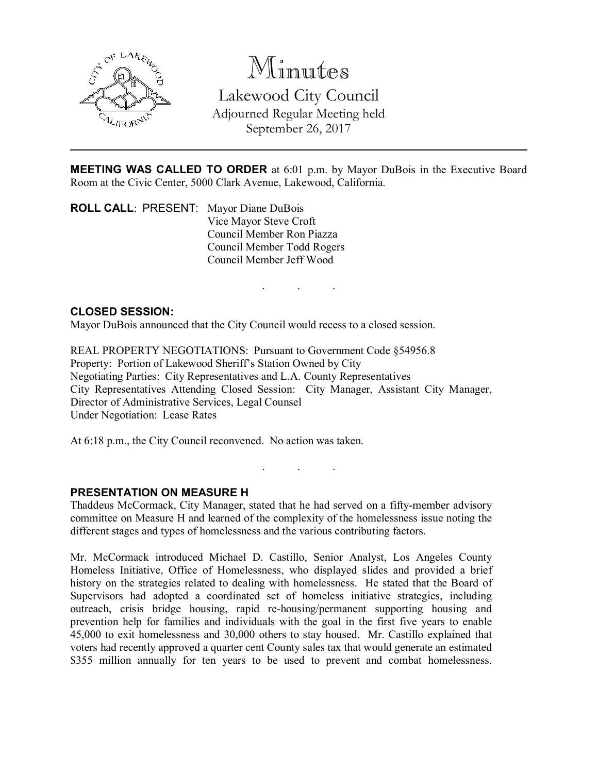

# Minutes

Lakewood City Council Adjourned Regular Meeting held September 26, 2017

MEETING WAS CALLED TO ORDER at 6:01 p.m. by Mayor DuBois in the Executive Board Room at the Civic Center, 5000 Clark Avenue, Lakewood, California.

. . .

ROLL CALL: PRESENT: Mayor Diane DuBois Vice Mayor Steve Croft Council Member Ron Piazza Council Member Todd Rogers Council Member Jeff Wood

### CLOSED SESSION:

Mayor DuBois announced that the City Council would recess to a closed session.

REAL PROPERTY NEGOTIATIONS: Pursuant to Government Code §54956.8 Property: Portion of Lakewood Sheriff's Station Owned by City Negotiating Parties: City Representatives and L.A. County Representatives City Representatives Attending Closed Session: City Manager, Assistant City Manager, Director of Administrative Services, Legal Counsel Under Negotiation: Lease Rates

At 6:18 p.m., the City Council reconvened. No action was taken.

#### PRESENTATION ON MEASURE H

Thaddeus McCormack, City Manager, stated that he had served on a fifty-member advisory committee on Measure H and learned of the complexity of the homelessness issue noting the different stages and types of homelessness and the various contributing factors.

. . .

Mr. McCormack introduced Michael D. Castillo, Senior Analyst, Los Angeles County Homeless Initiative, Office of Homelessness, who displayed slides and provided a brief history on the strategies related to dealing with homelessness. He stated that the Board of Supervisors had adopted a coordinated set of homeless initiative strategies, including outreach, crisis bridge housing, rapid re-housing/permanent supporting housing and prevention help for families and individuals with the goal in the first five years to enable 45,000 to exit homelessness and 30,000 others to stay housed. Mr. Castillo explained that voters had recently approved a quarter cent County sales tax that would generate an estimated \$355 million annually for ten years to be used to prevent and combat homelessness.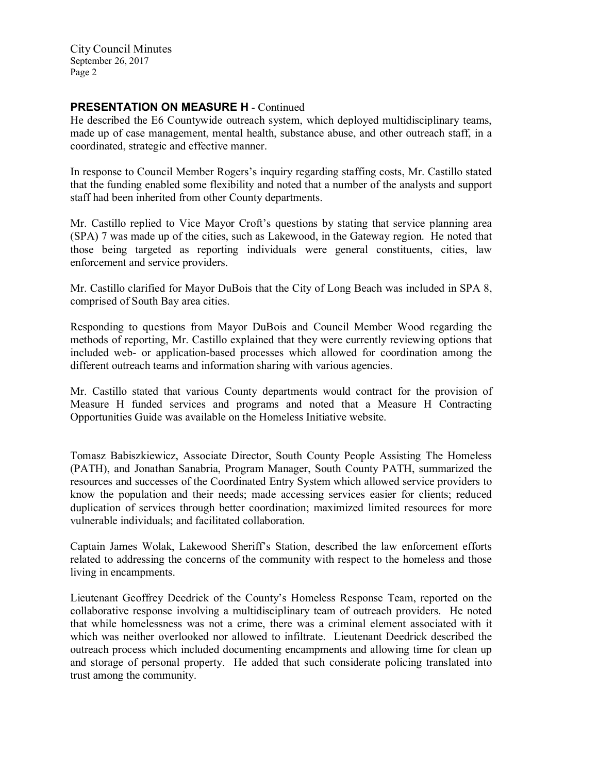City Council Minutes September 26, 2017 Page 2

## PRESENTATION ON MEASURE H - Continued

He described the E6 Countywide outreach system, which deployed multidisciplinary teams, made up of case management, mental health, substance abuse, and other outreach staff, in a coordinated, strategic and effective manner.

In response to Council Member Rogers's inquiry regarding staffing costs, Mr. Castillo stated that the funding enabled some flexibility and noted that a number of the analysts and support staff had been inherited from other County departments.

Mr. Castillo replied to Vice Mayor Croft's questions by stating that service planning area (SPA) 7 was made up of the cities, such as Lakewood, in the Gateway region. He noted that those being targeted as reporting individuals were general constituents, cities, law enforcement and service providers.

Mr. Castillo clarified for Mayor DuBois that the City of Long Beach was included in SPA 8, comprised of South Bay area cities.

Responding to questions from Mayor DuBois and Council Member Wood regarding the methods of reporting, Mr. Castillo explained that they were currently reviewing options that included web- or application-based processes which allowed for coordination among the different outreach teams and information sharing with various agencies.

Mr. Castillo stated that various County departments would contract for the provision of Measure H funded services and programs and noted that a Measure H Contracting Opportunities Guide was available on the Homeless Initiative website.

Tomasz Babiszkiewicz, Associate Director, South County People Assisting The Homeless (PATH), and Jonathan Sanabria, Program Manager, South County PATH, summarized the resources and successes of the Coordinated Entry System which allowed service providers to know the population and their needs; made accessing services easier for clients; reduced duplication of services through better coordination; maximized limited resources for more vulnerable individuals; and facilitated collaboration.

Captain James Wolak, Lakewood Sheriff's Station, described the law enforcement efforts related to addressing the concerns of the community with respect to the homeless and those living in encampments.

Lieutenant Geoffrey Deedrick of the County's Homeless Response Team, reported on the collaborative response involving a multidisciplinary team of outreach providers. He noted that while homelessness was not a crime, there was a criminal element associated with it which was neither overlooked nor allowed to infiltrate. Lieutenant Deedrick described the outreach process which included documenting encampments and allowing time for clean up and storage of personal property. He added that such considerate policing translated into trust among the community.